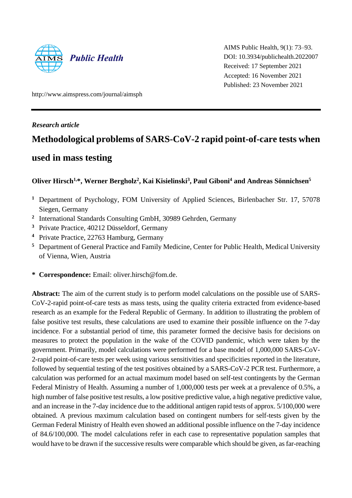

AIMS Public Health, 9(1): 73–93. DOI: 10.3934/publichealth.2022007 Received: 17 September 2021 Accepted: 16 November 2021 Published: 23 November 2021

http://www.aimspress.com/journal/aimsph

# *Research article*

# **Methodological problems of SARS-CoV-2 rapid** p**oint-of-care tests when**

# **used in mass testing**

# **Oliver Hirsch1,\*, Werner Bergholz<sup>2</sup> , Kai Kisielinski<sup>3</sup> , Paul Giboni<sup>4</sup> and Andreas Sönnichsen<sup>5</sup>**

- **<sup>1</sup>** Department of Psychology, FOM University of Applied Sciences, Birlenbacher Str. 17, 57078 Siegen, Germany
- **2** International Standards Consulting GmbH, 30989 Gehrden, Germany
- **<sup>3</sup>** Private Practice, 40212 Düsseldorf, Germany
- **<sup>4</sup>** Private Practice, 22763 Hamburg, Germany
- **<sup>5</sup>** Department of General Practice and Family Medicine, Center for Public Health, Medical University of Vienna, Wien, Austria
- **\* Correspondence:** Email: oliver.hirsch@fom.de.

**Abstract:** The aim of the current study is to perform model calculations on the possible use of SARS-CoV-2-rapid point-of-care tests as mass tests, using the quality criteria extracted from evidence-based research as an example for the Federal Republic of Germany. In addition to illustrating the problem of false positive test results, these calculations are used to examine their possible influence on the 7-day incidence. For a substantial period of time, this parameter formed the decisive basis for decisions on measures to protect the population in the wake of the COVID pandemic, which were taken by the government. Primarily, model calculations were performed for a base model of 1,000,000 SARS-CoV-2-rapid point-of-care tests per week using various sensitivities and specificities reported in the literature, followed by sequential testing of the test positives obtained by a SARS-CoV-2 PCR test. Furthermore, a calculation was performed for an actual maximum model based on self-test contingents by the German Federal Ministry of Health. Assuming a number of 1,000,000 tests per week at a prevalence of 0.5%, a high number of false positive test results, a low positive predictive value, a high negative predictive value, and an increase in the 7-day incidence due to the additional antigen rapid tests of approx. 5/100,000 were obtained. A previous maximum calculation based on contingent numbers for self-tests given by the German Federal Ministry of Health even showed an additional possible influence on the 7-day incidence of 84.6/100,000. The model calculations refer in each case to representative population samples that would have to be drawn if the successive results were comparable which should be given, as far-reaching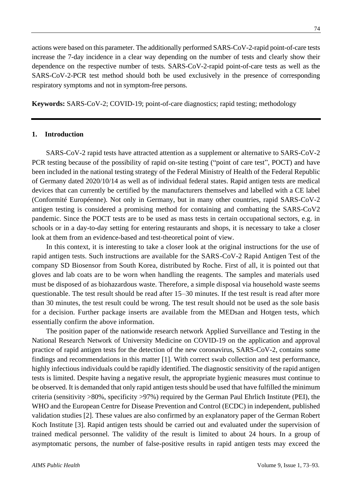actions were based on this parameter. The additionally performed SARS-CoV-2-rapid point-of-care tests increase the 7-day incidence in a clear way depending on the number of tests and clearly show their dependence on the respective number of tests. SARS-CoV-2-rapid point-of-care tests as well as the SARS-CoV-2-PCR test method should both be used exclusively in the presence of corresponding respiratory symptoms and not in symptom-free persons.

**Keywords:** SARS-CoV-2; COVID-19; point-of-care diagnostics; rapid testing; methodology

# **1. Introduction**

SARS-CoV-2 rapid tests have attracted attention as a supplement or alternative to SARS-CoV-2 PCR testing because of the possibility of rapid on-site testing ("point of care test", POCT) and have been included in the national testing strategy of the Federal Ministry of Health of the Federal Republic of Germany dated 2020/10/14 as well as of individual federal states. Rapid antigen tests are medical devices that can currently be certified by the manufacturers themselves and labelled with a CE label (Conformité Européenne). Not only in Germany, but in many other countries, rapid SARS-CoV-2 antigen testing is considered a promising method for containing and combatting the SARS-CoV2 pandemic. Since the POCT tests are to be used as mass tests in certain occupational sectors, e.g. in schools or in a day-to-day setting for entering restaurants and shops, it is necessary to take a closer look at them from an evidence-based and test-theoretical point of view.

In this context, it is interesting to take a closer look at the original instructions for the use of rapid antigen tests. Such instructions are available for the SARS-CoV-2 Rapid Antigen Test of the company SD Biosensor from South Korea, distributed by Roche. First of all, it is pointed out that gloves and lab coats are to be worn when handling the reagents. The samples and materials used must be disposed of as biohazardous waste. Therefore, a simple disposal via household waste seems questionable. The test result should be read after 15–30 minutes. If the test result is read after more than 30 minutes, the test result could be wrong. The test result should not be used as the sole basis for a decision. Further package inserts are available from the MEDsan and Hotgen tests, which essentially confirm the above information.

The position paper of the nationwide research network Applied Surveillance and Testing in the National Research Network of University Medicine on COVID-19 on the application and approval practice of rapid antigen tests for the detection of the new coronavirus, SARS-CoV-2, contains some findings and recommendations in this matter [1]. With correct swab collection and test performance, highly infectious individuals could be rapidly identified. The diagnostic sensitivity of the rapid antigen tests is limited. Despite having a negative result, the appropriate hygienic measures must continue to be observed. It is demanded that only rapid antigen tests should be used that have fulfilled the minimum criteria (sensitivity >80%, specificity >97%) required by the German Paul Ehrlich Institute (PEI), the WHO and the European Centre for Disease Prevention and Control (ECDC) in independent, published validation studies [2]. These values are also confirmed by an explanatory paper of the German Robert Koch Institute [3]. Rapid antigen tests should be carried out and evaluated under the supervision of trained medical personnel. The validity of the result is limited to about 24 hours. In a group of asymptomatic persons, the number of false-positive results in rapid antigen tests may exceed the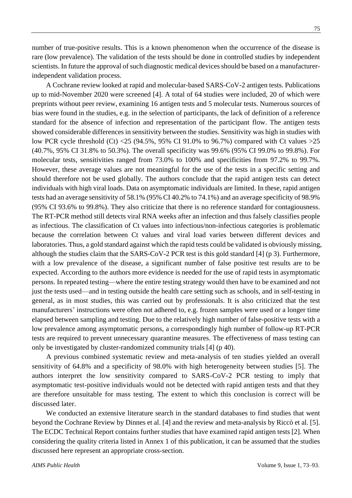75

number of true-positive results. This is a known phenomenon when the occurrence of the disease is rare (low prevalence). The validation of the tests should be done in controlled studies by independent scientists. In future the approval of such diagnostic medical devices should be based on a manufacturerindependent validation process.

A Cochrane review looked at rapid and molecular-based SARS-CoV-2 antigen tests. Publications up to mid-November 2020 were screened [4]. A total of 64 studies were included, 20 of which were preprints without peer review, examining 16 antigen tests and 5 molecular tests. Numerous sources of bias were found in the studies, e.g. in the selection of participants, the lack of definition of a reference standard for the absence of infection and representation of the participant flow. The antigen tests showed considerable differences in sensitivity between the studies. Sensitivity was high in studies with low PCR cycle threshold (Ct) <25 (94.5%, 95% CI 91.0% to 96.7%) compared with Ct values >25 (40.7%, 95% CI 31.8% to 50.3%). The overall specificity was 99.6% (95% CI 99.0% to 99.8%). For molecular tests, sensitivities ranged from 73.0% to 100% and specificities from 97.2% to 99.7%. However, these average values are not meaningful for the use of the tests in a specific setting and should therefore not be used globally. The authors conclude that the rapid antigen tests can detect individuals with high viral loads. Data on asymptomatic individuals are limited. In these, rapid antigen tests had an average sensitivity of 58.1% (95% CI 40.2% to 74.1%) and an average specificity of 98.9% (95% CI 93.6% to 99.8%). They also criticize that there is no reference standard for contagiousness. The RT-PCR method still detects viral RNA weeks after an infection and thus falsely classifies people as infectious. The classification of Ct values into infectious/non-infectious categories is problematic because the correlation between Ct values and viral load varies between different devices and laboratories. Thus, a gold standard against which the rapid tests could be validated is obviously missing, although the studies claim that the SARS-CoV-2 PCR test is this gold standard [4] (p 3). Furthermore, with a low prevalence of the disease, a significant number of false positive test results are to be expected. According to the authors more evidence is needed for the use of rapid tests in asymptomatic persons. In repeated testing—where the entire testing strategy would then have to be examined and not just the tests used—and in testing outside the health care setting such as schools, and in self-testing in general, as in most studies, this was carried out by professionals. It is also criticized that the test manufacturers' instructions were often not adhered to, e.g. frozen samples were used or a longer time elapsed between sampling and testing. Due to the relatively high number of false-positive tests with a low prevalence among asymptomatic persons, a correspondingly high number of follow-up RT-PCR tests are required to prevent unnecessary quarantine measures. The effectiveness of mass testing can only be investigated by cluster-randomized community trials [4] (p 40).

A previous combined systematic review and meta-analysis of ten studies yielded an overall sensitivity of 64.8% and a specificity of 98.0% with high heterogeneity between studies [5]. The authors interpret the low sensitivity compared to SARS-CoV-2 PCR testing to imply that asymptomatic test-positive individuals would not be detected with rapid antigen tests and that they are therefore unsuitable for mass testing. The extent to which this conclusion is correct will be discussed later.

We conducted an extensive literature search in the standard databases to find studies that went beyond the Cochrane Review by Dinnes et al. [4] and the review and meta-analysis by Riccò et al. [5]. The ECDC Technical Report contains further studies that have examined rapid antigen tests [2]. When considering the quality criteria listed in Annex 1 of this publication, it can be assumed that the studies discussed here represent an appropriate cross-section.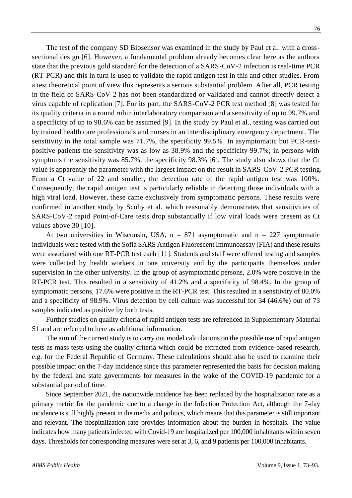The test of the company SD Biosensor was examined in the study by Paul et al. with a crosssectional design [6]. However, a fundamental problem already becomes clear here as the authors state that the previous gold standard for the detection of a SARS-CoV-2 infection is real-time PCR (RT-PCR) and this in turn is used to validate the rapid antigen test in this and other studies. From a test theoretical point of view this represents a serious substantial problem. After all, PCR testing in the field of SARS-CoV-2 has not been standardized or validated and cannot directly detect a virus capable of replication [7]. For its part, the SARS-CoV-2 PCR test method [8] was tested for its quality criteria in a round robin interlaboratory comparison and a sensitivity of up to 99.7% and a specificity of up to 98.6% can be assumed [9]. In the study by Paul et al., testing was carried out by trained health care professionals and nurses in an interdisciplinary emergency department. The sensitivity in the total sample was 71.7%, the specificity 99.5%. In asymptomatic but PCR-testpositive patients the sensitivity was as low as 38.9% and the specificity 99.7%; in persons with symptoms the sensitivity was 85.7%, the specificity 98.3% [6]. The study also shows that the Ct value is apparently the parameter with the largest impact on the result in SARS-CoV-2 PCR testing. From a Ct value of 22 and smaller, the detection rate of the rapid antigen test was 100%. Consequently, the rapid antigen test is particularly reliable in detecting those individuals with a high viral load. However, these came exclusively from symptomatic persons. These results were confirmed in another study by Scohy et al. which reasonably demonstrates that sensitivities of SARS-CoV-2 rapid Point-of-Care tests drop substantially if low viral loads were present as Ct values above 30 [10].

At two universities in Wisconsin, USA,  $n = 871$  asymptomatic and  $n = 227$  symptomatic individuals were tested with the Sofia SARS Antigen Fluorescent Immunoassay (FIA) and these results were associated with one RT-PCR test each [11]. Students and staff were offered testing and samples were collected by health workers in one university and by the participants themselves under supervision in the other university. In the group of asymptomatic persons, 2.0% were positive in the RT-PCR test. This resulted in a sensitivity of 41.2% and a specificity of 98.4%. In the group of symptomatic persons, 17.6% were positive in the RT-PCR test. This resulted in a sensitivity of 80.0% and a specificity of 98.9%. Virus detection by cell culture was successful for 34 (46.6%) out of 73 samples indicated as positive by both tests.

Further studies on quality criteria of rapid antigen tests are referenced in Supplementary Material S1 and are referred to here as additional information.

The aim of the current study is to carry out model calculations on the possible use of rapid antigen tests as mass tests using the quality criteria which could be extracted from evidence-based research, e.g. for the Federal Republic of Germany. These calculations should also be used to examine their possible impact on the 7-day incidence since this parameter represented the basis for decision making by the federal and state governments for measures in the wake of the COVID-19 pandemic for a substantial period of time.

Since September 2021, the nationwide incidence has been replaced by the hospitalization rate as a primary metric for the pandemic due to a change in the Infection Protection Act, although the 7-day incidence is still highly present in the media and politics, which means that this parameter is still important and relevant. The hospitalization rate provides information about the burden in hospitals. The value indicates how many patients infected with Covid-19 are hospitalized per 100,000 inhabitants within seven days. Thresholds for corresponding measures were set at 3, 6, and 9 patients per 100,000 inhabitants.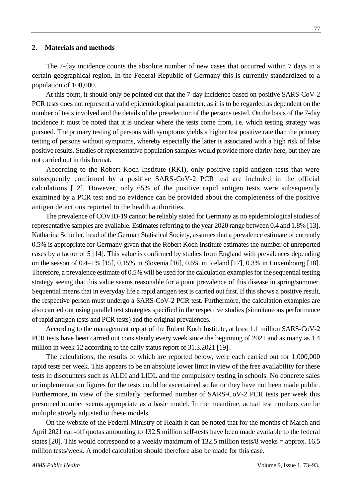#### **2. Materials and methods**

The 7-day incidence counts the absolute number of new cases that occurred within 7 days in a certain geographical region. In the Federal Republic of Germany this is currently standardized to a population of 100,000.

At this point, it should only be pointed out that the 7-day incidence based on positive SARS-CoV-2 PCR tests does not represent a valid epidemiological parameter, as it is to be regarded as dependent on the number of tests involved and the details of the preselection of the persons tested. On the basis of the 7-day incidence it must be noted that it is unclear where the tests come from, i.e. which testing strategy was pursued. The primary testing of persons with symptoms yields a higher test positive rate than the primary testing of persons without symptoms, whereby especially the latter is associated with a high risk of false positive results. Studies of representative population samples would provide more clarity here, but they are not carried out in this format.

According to the Robert Koch Institute (RKI), only positive rapid antigen tests that were subsequently confirmed by a positive SARS-CoV-2 PCR test are included in the official calculations [12]. However, only 65% of the positive rapid antigen tests were subsequently examined by a PCR test and no evidence can be provided about the completeness of the positive antigen detections reported to the health authorities.

The prevalence of COVID-19 cannot be reliably stated for Germany as no epidemiological studies of representative samples are available. Estimates referring to the year 2020 range between 0.4 and 1.8% [13]. Katharina Schüller, head of the German Statistical Society, assumes that a prevalence estimate of currently 0.5% is appropriate for Germany given that the Robert Koch Institute estimates the number of unreported cases by a factor of 5 [14]. This value is confirmed by studies from England with prevalences depending on the season of 0.4–1% [15], 0.15% in Slovenia [16], 0.6% in Iceland [17], 0.3% in Luxembourg [18]. Therefore, a prevalence estimate of 0.5% will be used for the calculation examples for the sequential testing strategy seeing that this value seems reasonable for a point prevalence of this disease in spring/summer. Sequential means that in everyday life a rapid antigen test is carried out first. If this shows a positive result, the respective person must undergo a SARS-CoV-2 PCR test. Furthermore, the calculation examples are also carried out using parallel test strategies specified in the respective studies (simultaneous performance of rapid antigen tests and PCR tests) and the original prevalences.

According to the management report of the Robert Koch Institute, at least 1.1 million SARS-CoV-2 PCR tests have been carried out consistently every week since the beginning of 2021 and as many as 1.4 million in week 12 according to the daily status report of 31.3.2021 [19].

The calculations, the results of which are reported below, were each carried out for 1,000,000 rapid tests per week. This appears to be an absolute lower limit in view of the free availability for these tests in discounters such as ALDI and LIDL and the compulsory testing in schools. No concrete sales or implementation figures for the tests could be ascertained so far or they have not been made public. Furthermore, in view of the similarly performed number of SARS-CoV-2 PCR tests per week this presumed number seems appropriate as a basic model. In the meantime, actual test numbers can be multiplicatively adjusted to these models.

On the website of the Federal Ministry of Health it can be noted that for the months of March and April 2021 call-off quotas amounting to 132.5 million self-tests have been made available to the federal states [20]. This would correspond to a weekly maximum of 132.5 million tests/8 weeks = approx. 16.5 million tests/week. A model calculation should therefore also be made for this case.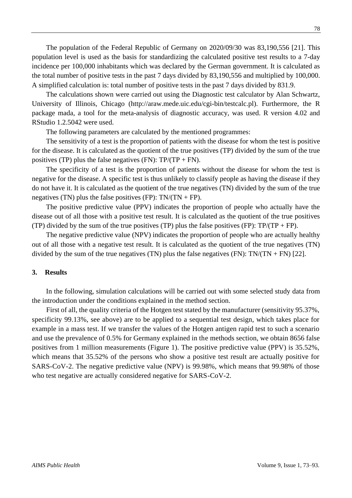The population of the Federal Republic of Germany on 2020/09/30 was 83,190,556 [21]. This population level is used as the basis for standardizing the calculated positive test results to a 7-day incidence per 100,000 inhabitants which was declared by the German government. It is calculated as the total number of positive tests in the past 7 days divided by 83,190,556 and multiplied by 100,000. A simplified calculation is: total number of positive tests in the past 7 days divided by 831.9.

The calculations shown were carried out using the Diagnostic test calculator by Alan Schwartz, University of Illinois, Chicago (http://araw.mede.uic.edu/cgi-bin/testcalc.pl). Furthermore, the R package mada, a tool for the meta-analysis of diagnostic accuracy, was used. R version 4.02 and RStudio 1.2.5042 were used.

The following parameters are calculated by the mentioned programmes:

The sensitivity of a test is the proportion of patients with the disease for whom the test is positive for the disease. It is calculated as the quotient of the true positives (TP) divided by the sum of the true positives (TP) plus the false negatives (FN):  $TP/(TP + FN)$ .

The specificity of a test is the proportion of patients without the disease for whom the test is negative for the disease. A specific test is thus unlikely to classify people as having the disease if they do not have it. It is calculated as the quotient of the true negatives (TN) divided by the sum of the true negatives (TN) plus the false positives (FP):  $TN/(TN + FP)$ .

The positive predictive value (PPV) indicates the proportion of people who actually have the disease out of all those with a positive test result. It is calculated as the quotient of the true positives (TP) divided by the sum of the true positives (TP) plus the false positives (FP):  $TP/(TP + FP)$ .

The negative predictive value (NPV) indicates the proportion of people who are actually healthy out of all those with a negative test result. It is calculated as the quotient of the true negatives (TN) divided by the sum of the true negatives (TN) plus the false negatives (FN):  $TN/(TN + FN)$  [22].

### **3. Results**

In the following, simulation calculations will be carried out with some selected study data from the introduction under the conditions explained in the method section.

First of all, the quality criteria of the Hotgen test stated by the manufacturer (sensitivity 95.37%, specificity 99.13%, see above) are to be applied to a sequential test design, which takes place for example in a mass test. If we transfer the values of the Hotgen antigen rapid test to such a scenario and use the prevalence of 0.5% for Germany explained in the methods section, we obtain 8656 false positives from 1 million measurements (Figure 1). The positive predictive value (PPV) is 35.52%, which means that 35.52% of the persons who show a positive test result are actually positive for SARS-CoV-2. The negative predictive value (NPV) is 99.98%, which means that 99.98% of those who test negative are actually considered negative for SARS-CoV-2.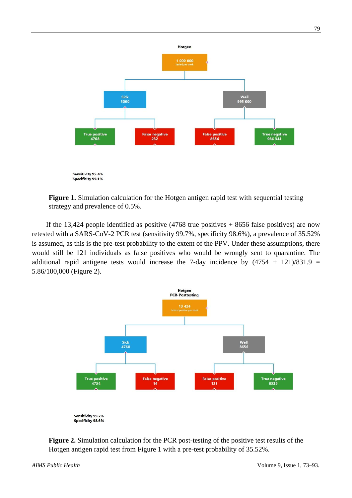

**Figure 1.** Simulation calculation for the Hotgen antigen rapid test with sequential testing strategy and prevalence of 0.5%.

If the 13,424 people identified as positive  $(4768$  true positives + 8656 false positives) are now retested with a SARS-CoV-2 PCR test (sensitivity 99.7%, specificity 98.6%), a prevalence of 35.52% is assumed, as this is the pre-test probability to the extent of the PPV. Under these assumptions, there would still be 121 individuals as false positives who would be wrongly sent to quarantine. The additional rapid antigene tests would increase the 7-day incidence by  $(4754 + 121)/831.9$ 5.86/100,000 (Figure 2).



**Figure 2.** Simulation calculation for the PCR post-testing of the positive test results of the Hotgen antigen rapid test from Figure 1 with a pre-test probability of 35.52%.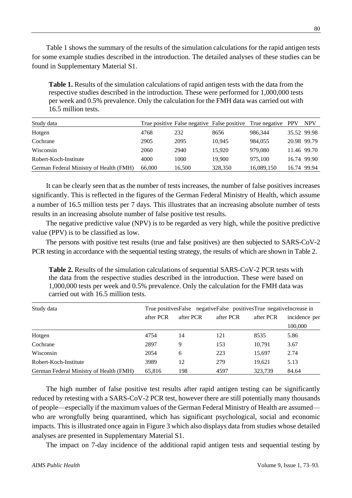Table 1 shows the summary of the results of the simulation calculations for the rapid antigen tests for some example studies described in the introduction. The detailed analyses of these studies can be found in Supplementary Material S1.

**Table 1.** Results of the simulation calculations of rapid antigen tests with the data from the respective studies described in the introduction. These were performed for 1,000,000 tests per week and 0.5% prevalence. Only the calculation for the FMH data was carried out with 16.5 million tests.

| Study data                              |        |        | True positive False negative False positive True negative PPV |            | <b>NPV</b>  |
|-----------------------------------------|--------|--------|---------------------------------------------------------------|------------|-------------|
| Hotgen                                  | 4768   | 232    | 8656                                                          | 986.344    | 35.52 99.98 |
| Cochrane                                | 2905   | 2095   | 10.945                                                        | 984.055    | 20.98 99.79 |
| Wisconsin                               | 2060   | 2940   | 15.920                                                        | 979.080    | 11.46 99.70 |
| Robert-Koch-Institute                   | 4000   | 1000   | 19.900                                                        | 975.100    | 16.74 99.90 |
| German Federal Ministry of Health (FMH) | 66,000 | 16,500 | 328,350                                                       | 16,089,150 | 16.74 99.94 |

It can be clearly seen that as the number of tests increases, the number of false positives increases significantly. This is reflected in the figures of the German Federal Ministry of Health, which assume a number of 16.5 million tests per 7 days. This illustrates that an increasing absolute number of tests results in an increasing absolute number of false positive test results.

The negative predictive value (NPV) is to be regarded as very high, while the positive predictive value (PPV) is to be classified as low.

The persons with positive test results (true and false positives) are then subjected to SARS-CoV-2 PCR testing in accordance with the sequential testing strategy, the results of which are shown in Table 2.

**Table 2.** Results of the simulation calculations of sequential SARS-CoV-2 PCR tests with the data from the respective studies described in the introduction. These were based on 1,000,000 tests per week and 0.5% prevalence. Only the calculation for the FMH data was carried out with 16.5 million tests.

| Study data                              | True positives False negative False positives True negative Increase in |           |           |           |                          |  |  |
|-----------------------------------------|-------------------------------------------------------------------------|-----------|-----------|-----------|--------------------------|--|--|
|                                         | after PCR                                                               | after PCR | after PCR | after PCR | incidence per<br>100,000 |  |  |
| Hotgen                                  | 4754                                                                    | 14        | 121       | 8535      | 5.86                     |  |  |
| Cochrane                                | 2897                                                                    | 9         | 153       | 10.791    | 3.67                     |  |  |
| Wisconsin                               | 2054                                                                    | 6         | 223       | 15,697    | 2.74                     |  |  |
| Robert-Koch-Institute                   | 3989                                                                    | 12        | 279       | 19.621    | 5.13                     |  |  |
| German Federal Ministry of Health (FMH) | 65,816                                                                  | 198       | 4597      | 323.739   | 84.64                    |  |  |

The high number of false positive test results after rapid antigen testing can be significantly reduced by retesting with a SARS-CoV-2 PCR test, however there are still potentially many thousands of people—especially if the maximum values of the German Federal Ministry of Health are assumed who are wrongfully being quarantined, which has significant psychological, social and economic impacts. This is illustrated once again in Figure 3 which also displays data from studies whose detailed analyses are presented in Supplementary Material S1.

The impact on 7-day incidence of the additional rapid antigen tests and sequential testing by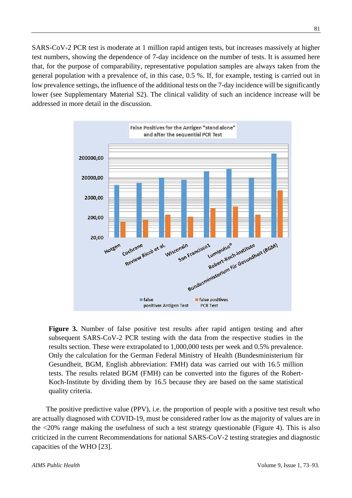SARS-CoV-2 PCR test is moderate at 1 million rapid antigen tests, but increases massively at higher test numbers, showing the dependence of 7-day incidence on the number of tests. It is assumed here that, for the purpose of comparability, representative population samples are always taken from the general population with a prevalence of, in this case, 0.5 %. If, for example, testing is carried out in low prevalence settings, the influence of the additional tests on the 7-day incidence will be significantly lower (see Supplementary Material S2). The clinical validity of such an incidence increase will be addressed in more detail in the discussion.



Figure 3. Number of false positive test results after rapid antigen testing and after subsequent SARS-CoV-2 PCR testing with the data from the respective studies in the results section. These were extrapolated to 1,000,000 tests per week and 0.5% prevalence. Only the calculation for the German Federal Ministry of Health (Bundesministerium für Gesundheit, BGM, English abbreviation: FMH) data was carried out with 16.5 million tests. The results related BGM (FMH) can be converted into the figures of the Robert-Koch-Institute by dividing them by 16.5 because they are based on the same statistical quality criteria.

The positive predictive value (PPV), i.e. the proportion of people with a positive test result who are actually diagnosed with COVID-19, must be considered rather low as the majority of values are in the <20% range making the usefulness of such a test strategy questionable (Figure 4). This is also criticized in the current Recommendations for national SARS-CoV-2 testing strategies and diagnostic capacities of the WHO [23].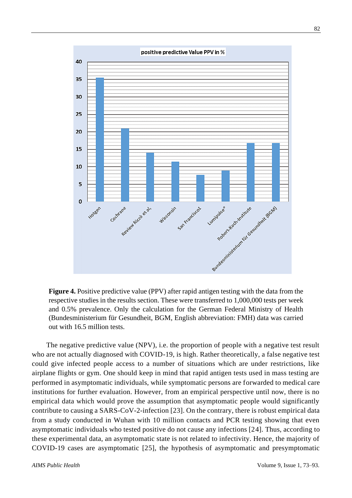

**Figure 4.** Positive predictive value (PPV) after rapid antigen testing with the data from the respective studies in the results section. These were transferred to 1,000,000 tests per week and 0.5% prevalence. Only the calculation for the German Federal Ministry of Health (Bundesministerium für Gesundheit, BGM, English abbreviation: FMH) data was carried out with 16.5 million tests.

The negative predictive value (NPV), i.e. the proportion of people with a negative test result who are not actually diagnosed with COVID-19, is high. Rather theoretically, a false negative test could give infected people access to a number of situations which are under restrictions, like airplane flights or gym. One should keep in mind that rapid antigen tests used in mass testing are performed in asymptomatic individuals, while symptomatic persons are forwarded to medical care institutions for further evaluation. However, from an empirical perspective until now, there is no empirical data which would prove the assumption that asymptomatic people would significantly contribute to causing a SARS-CoV-2-infection [23]. On the contrary, there is robust empirical data from a study conducted in Wuhan with 10 million contacts and PCR testing showing that even asymptomatic individuals who tested positive do not cause any infections [24]. Thus, according to these experimental data, an asymptomatic state is not related to infectivity. Hence, the majority of COVID-19 cases are asymptomatic [25], the hypothesis of asymptomatic and presymptomatic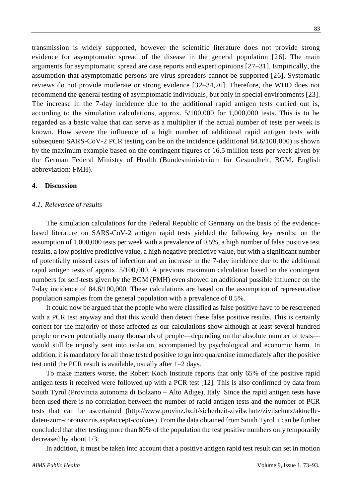transmission is widely supported, however the scientific literature does not provide strong evidence for asymptomatic spread of the disease in the general population [26]. The main arguments for asymptomatic spread are case reports and expert opinions [27–31]. Empirically, the assumption that asymptomatic persons are virus spreaders cannot be supported [26]. Systematic reviews do not provide moderate or strong evidence [32–34,26]. Therefore, the WHO does not recommend the general testing of asymptomatic individuals, but only in special environments [23]. The increase in the 7-day incidence due to the additional rapid antigen tests carried out is, according to the simulation calculations, approx. 5/100,000 for 1,000,000 tests. This is to be regarded as a basic value that can serve as a multiplier if the actual number of tests per week is known. How severe the influence of a high number of additional rapid antigen tests with subsequent SARS-CoV-2 PCR testing can be on the incidence (additional 84.6/100,000) is shown by the maximum example based on the contingent figures of 16.5 million tests per week given by the German Federal Ministry of Health (Bundesministerium für Gesundheit, BGM, English abbreviation: FMH).

#### **4. Discussion**

#### *4.1. Relevance of results*

The simulation calculations for the Federal Republic of Germany on the basis of the evidencebased literature on SARS-CoV-2 antigen rapid tests yielded the following key results: on the assumption of 1,000,000 tests per week with a prevalence of 0.5%, a high number of false positive test results, a low positive predictive value, a high negative predictive value, but with a significant number of potentially missed cases of infection and an increase in the 7-day incidence due to the additional rapid antigen tests of approx. 5/100,000. A previous maximum calculation based on the contingent numbers for self-tests given by the BGM (FMH) even showed an additional possible influence on the 7-day incidence of 84.6/100,000. These calculations are based on the assumption of representative population samples from the general population with a prevalence of 0.5%.

It could now be argued that the people who were classified as false positive have to be rescreened with a PCR test anyway and that this would then detect these false positive results. This is certainly correct for the majority of those affected as our calculations show although at least several hundred people or even potentially many thousands of people—depending on the absolute number of tests would still be unjustly sent into isolation, accompanied by psychological and economic harm. In addition, it is mandatory for all those tested positive to go into quarantine immediately after the positive test until the PCR result is available, usually after 1–2 days.

To make matters worse, the Robert Koch Institute reports that only 65% of the positive rapid antigen tests it received were followed up with a PCR test [12]. This is also confirmed by data from South Tyrol (Provincia autonoma di Bolzano – Alto Adige), Italy. Since the rapid antigen tests have been used there is no correlation between the number of rapid antigen tests and the number of PCR tests that can be ascertained (http://www.provinz.bz.it/sicherheit-zivilschutz/zivilschutz/aktuelledaten-zum-coronavirus.asp#accept-cookies). From the data obtained from South Tyrol it can be further concluded that after testing more than 80% of the population the test positive numbers only temporarily decreased by about 1/3.

In addition, it must be taken into account that a positive antigen rapid test result can set in motion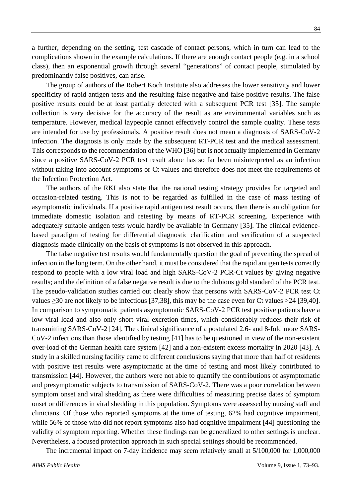a further, depending on the setting, test cascade of contact persons, which in turn can lead to the complications shown in the example calculations. If there are enough contact people (e.g. in a school class), then an exponential growth through several "generations" of contact people, stimulated by predominantly false positives, can arise.

The group of authors of the Robert Koch Institute also addresses the lower sensitivity and lower specificity of rapid antigen tests and the resulting false negative and false positive results. The false positive results could be at least partially detected with a subsequent PCR test [35]. The sample collection is very decisive for the accuracy of the result as are environmental variables such as temperature. However, medical laypeople cannot effectively control the sample quality. These tests are intended for use by professionals. A positive result does not mean a diagnosis of SARS-CoV-2 infection. The diagnosis is only made by the subsequent RT-PCR test and the medical assessment. This corresponds to the recommendation of the WHO [36] but is not actually implemented in Germany since a positive SARS-CoV-2 PCR test result alone has so far been misinterpreted as an infection without taking into account symptoms or Ct values and therefore does not meet the requirements of the Infection Protection Act.

The authors of the RKI also state that the national testing strategy provides for targeted and occasion-related testing. This is not to be regarded as fulfilled in the case of mass testing of asymptomatic individuals. If a positive rapid antigen test result occurs, then there is an obligation for immediate domestic isolation and retesting by means of RT-PCR screening. Experience with adequately suitable antigen tests would hardly be available in Germany [35]. The clinical evidencebased paradigm of testing for differential diagnostic clarification and verification of a suspected diagnosis made clinically on the basis of symptoms is not observed in this approach.

The false negative test results would fundamentally question the goal of preventing the spread of infection in the long term. On the other hand, it must be considered that the rapid antigen tests correctly respond to people with a low viral load and high SARS-CoV-2 PCR-Ct values by giving negative results; and the definition of a false negative result is due to the dubious gold standard of the PCR test. The pseudo-validation studies carried out clearly show that persons with SARS-CoV-2 PCR test Ct values ≥30 are not likely to be infectious [37,38], this may be the case even for Ct values >24 [39,40]. In comparison to symptomatic patients asymptomatic SARS-CoV-2 PCR test positive patients have a low viral load and also only short viral excretion times, which considerably reduces their risk of transmitting SARS-CoV-2 [24]. The clinical significance of a postulated 2.6- and 8-fold more SARS-CoV-2 infections than those identified by testing [41] has to be questioned in view of the non-existent over-load of the German health care system [42] and a non-existent excess mortality in 2020 [43]. A study in a skilled nursing facility came to different conclusions saying that more than half of residents with positive test results were asymptomatic at the time of testing and most likely contributed to transmission [44]. However, the authors were not able to quantify the contributions of asymptomatic and presymptomatic subjects to transmission of SARS-CoV-2. There was a poor correlation between symptom onset and viral shedding as there were difficulties of measuring precise dates of symptom onset or differences in viral shedding in this population. Symptoms were assessed by nursing staff and clinicians. Of those who reported symptoms at the time of testing, 62% had cognitive impairment, while 56% of those who did not report symptoms also had cognitive impairment [44] questioning the validity of symptom reporting. Whether these findings can be generalized to other settings is unclear. Nevertheless, a focused protection approach in such special settings should be recommended.

The incremental impact on 7-day incidence may seem relatively small at 5/100,000 for 1,000,000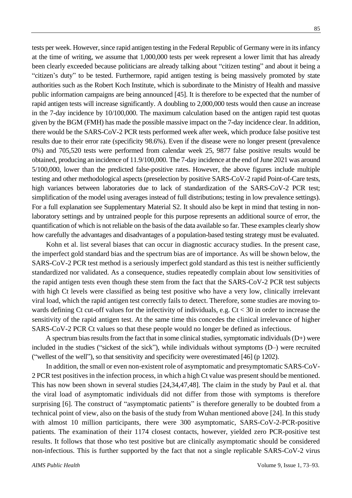tests per week. However, since rapid antigen testing in the Federal Republic of Germany were in its infancy at the time of writing, we assume that 1,000,000 tests per week represent a lower limit that has already been clearly exceeded because politicians are already talking about "citizen testing" and about it being a "citizen's duty" to be tested. Furthermore, rapid antigen testing is being massively promoted by state authorities such as the Robert Koch Institute, which is subordinate to the Ministry of Health and massive public information campaigns are being announced [45]. It is therefore to be expected that the number of rapid antigen tests will increase significantly. A doubling to 2,000,000 tests would then cause an increase in the 7-day incidence by 10/100,000. The maximum calculation based on the antigen rapid test quotas given by the BGM (FMH) has made the possible massive impact on the 7-day incidence clear. In addition, there would be the SARS-CoV-2 PCR tests performed week after week, which produce false positive test results due to their error rate (specificity 98.6%). Even if the disease were no longer present (prevalence 0%) and 705,520 tests were performed from calendar week 25, 9877 false positive results would be obtained, producing an incidence of 11.9/100,000. The 7-day incidence at the end of June 2021 was around 5/100,000, lower than the predicted false-positive rates. However, the above figures include multiple testing and other methodological aspects (preselection by positive SARS-CoV-2 rapid Point-of-Care tests, high variances between laboratories due to lack of standardization of the SARS-CoV-2 PCR test; simplification of the model using averages instead of full distributions; testing in low prevalence settings). For a full explanation see Supplementary Material S2. It should also be kept in mind that testing in nonlaboratory settings and by untrained people for this purpose represents an additional source of error, the quantification of which is not reliable on the basis of the data available so far. These examples clearly show how carefully the advantages and disadvantages of a population-based testing strategy must be evaluated.

Kohn et al. list several biases that can occur in diagnostic accuracy studies. In the present case, the imperfect gold standard bias and the spectrum bias are of importance. As will be shown below, the SARS-CoV-2 PCR test method is a seriously imperfect gold standard as this test is neither sufficiently standardized nor validated. As a consequence, studies repeatedly complain about low sensitivities of the rapid antigen tests even though these stem from the fact that the SARS-CoV-2 PCR test subjects with high Ct levels were classified as being test positive who have a very low, clinically irrelevant viral load, which the rapid antigen test correctly fails to detect. Therefore, some studies are moving towards defining Ct cut-off values for the infectivity of individuals, e.g.  $Ct < 30$  in order to increase the sensitivity of the rapid antigen test. At the same time this concedes the clinical irrelevance of higher SARS-CoV-2 PCR Ct values so that these people would no longer be defined as infectious.

A spectrum bias results from the fact that in some clinical studies, symptomatic individuals  $(D+)$  were included in the studies ("sickest of the sick"), while individuals without symptoms (D–) were recruited ("wellest of the well"), so that sensitivity and specificity were overestimated [46] (p 1202).

In addition, the small or even non-existent role of asymptomatic and presymptomatic SARS-CoV-2 PCR test positives in the infection process, in which a high Ct value was present should be mentioned. This has now been shown in several studies [24,34,47,48]. The claim in the study by Paul et al. that the viral load of asymptomatic individuals did not differ from those with symptoms is therefore surprising [6]. The construct of "asymptomatic patients" is therefore generally to be doubted from a technical point of view, also on the basis of the study from Wuhan mentioned above [24]. In this study with almost 10 million participants, there were 300 asymptomatic, SARS-CoV-2-PCR-positive patients. The examination of their 1174 closest contacts, however, yielded zero PCR-positive test results. It follows that those who test positive but are clinically asymptomatic should be considered non-infectious. This is further supported by the fact that not a single replicable SARS-CoV-2 virus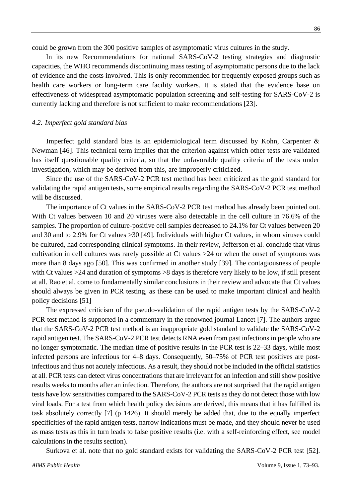could be grown from the 300 positive samples of asymptomatic virus cultures in the study.

In its new Recommendations for national SARS-CoV-2 testing strategies and diagnostic capacities, the WHO recommends discontinuing mass testing of asymptomatic persons due to the lack of evidence and the costs involved. This is only recommended for frequently exposed groups such as health care workers or long-term care facility workers. It is stated that the evidence base on effectiveness of widespread asymptomatic population screening and self-testing for SARS-CoV-2 is currently lacking and therefore is not sufficient to make recommendations [23].

#### *4.2. Imperfect gold standard bias*

Imperfect gold standard bias is an epidemiological term discussed by Kohn, Carpenter & Newman [46]. This technical term implies that the criterion against which other tests are validated has itself questionable quality criteria, so that the unfavorable quality criteria of the tests under investigation, which may be derived from this, are improperly criticized.

Since the use of the SARS-CoV-2 PCR test method has been criticized as the gold standard for validating the rapid antigen tests, some empirical results regarding the SARS-CoV-2 PCR test method will be discussed.

The importance of Ct values in the SARS-CoV-2 PCR test method has already been pointed out. With Ct values between 10 and 20 viruses were also detectable in the cell culture in 76.6% of the samples. The proportion of culture-positive cell samples decreased to 24.1% for Ct values between 20 and 30 and to 2.9% for Ct values >30 [49]. Individuals with higher Ct values, in whom viruses could be cultured, had corresponding clinical symptoms. In their review, Jefferson et al. conclude that virus cultivation in cell cultures was rarely possible at Ct values >24 or when the onset of symptoms was more than 8 days ago [50]. This was confirmed in another study [39]. The contagiousness of people with Ct values >24 and duration of symptoms >8 days is therefore very likely to be low, if still present at all. Rao et al. come to fundamentally similar conclusions in their review and advocate that Ct values should always be given in PCR testing, as these can be used to make important clinical and health policy decisions [51]

The expressed criticism of the pseudo-validation of the rapid antigen tests by the SARS-CoV-2 PCR test method is supported in a commentary in the renowned journal Lancet [7]. The authors argue that the SARS-CoV-2 PCR test method is an inappropriate gold standard to validate the SARS-CoV-2 rapid antigen test. The SARS-CoV-2 PCR test detects RNA even from past infections in people who are no longer symptomatic. The median time of positive results in the PCR test is 22–33 days, while most infected persons are infectious for 4–8 days. Consequently, 50–75% of PCR test positives are postinfectious and thus not acutely infectious. As a result, they should not be included in the official statistics at all. PCR tests can detect virus concentrations that are irrelevant for an infection and still show positive results weeks to months after an infection. Therefore, the authors are not surprised that the rapid antigen tests have low sensitivities compared to the SARS-CoV-2 PCR tests as they do not detect those with low viral loads. For a test from which health policy decisions are derived, this means that it has fulfilled its task absolutely correctly [7] (p 1426). It should merely be added that, due to the equally imperfect specificities of the rapid antigen tests, narrow indications must be made, and they should never be used as mass tests as this in turn leads to false positive results (i.e. with a self-reinforcing effect, see model calculations in the results section).

Surkova et al. note that no gold standard exists for validating the SARS-CoV-2 PCR test [52].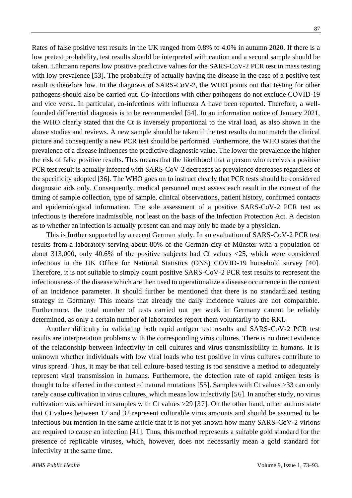Rates of false positive test results in the UK ranged from 0.8% to 4.0% in autumn 2020. If there is a low pretest probability, test results should be interpreted with caution and a second sample should be taken. Lühmann reports low positive predictive values for the SARS-CoV-2 PCR test in mass testing with low prevalence [53]. The probability of actually having the disease in the case of a positive test result is therefore low. In the diagnosis of SARS-CoV-2, the WHO points out that testing for other pathogens should also be carried out. Co-infections with other pathogens do not exclude COVID-19 and vice versa. In particular, co-infections with influenza A have been reported. Therefore, a wellfounded differential diagnosis is to be recommended [54]. In an information notice of January 2021, the WHO clearly stated that the Ct is inversely proportional to the viral load, as also shown in the above studies and reviews. A new sample should be taken if the test results do not match the clinical picture and consequently a new PCR test should be performed. Furthermore, the WHO states that the prevalence of a disease influences the predictive diagnostic value. The lower the prevalence the higher the risk of false positive results. This means that the likelihood that a person who receives a positive PCR test result is actually infected with SARS-CoV-2 decreases as prevalence decreases regardless of the specificity adopted [36]. The WHO goes on to instruct clearly that PCR tests should be considered diagnostic aids only. Consequently, medical personnel must assess each result in the context of the timing of sample collection, type of sample, clinical observations, patient history, confirmed contacts and epidemiological information. The sole assessment of a positive SARS-CoV-2 PCR test as infectious is therefore inadmissible, not least on the basis of the Infection Protection Act. A decision as to whether an infection is actually present can and may only be made by a physician.

This is further supported by a recent German study. In an evaluation of SARS-CoV-2 PCR test results from a laboratory serving about 80% of the German city of Münster with a population of about 313,000, only 40.6% of the positive subjects had Ct values <25, which were considered infectious in the UK Office for National Statistics (ONS) COVID-19 household survey [40]. Therefore, it is not suitable to simply count positive SARS-CoV-2 PCR test results to represent the infectiousness of the disease which are then used to operationalize a disease occurrence in the context of an incidence parameter. It should further be mentioned that there is no standardized testing strategy in Germany. This means that already the daily incidence values are not comparable. Furthermore, the total number of tests carried out per week in Germany cannot be reliably determined, as only a certain number of laboratories report them voluntarily to the RKI.

Another difficulty in validating both rapid antigen test results and SARS-CoV-2 PCR test results are interpretation problems with the corresponding virus cultures. There is no direct evidence of the relationship between infectivity in cell cultures and virus transmissibility in humans. It is unknown whether individuals with low viral loads who test positive in virus cultures contribute to virus spread. Thus, it may be that cell culture-based testing is too sensitive a method to adequately represent viral transmission in humans. Furthermore, the detection rate of rapid antigen tests is thought to be affected in the context of natural mutations [55]. Samples with Ct values >33 can only rarely cause cultivation in virus cultures, which means low infectivity [56]. In another study, no virus cultivation was achieved in samples with Ct values >29 [37]. On the other hand, other authors state that Ct values between 17 and 32 represent culturable virus amounts and should be assumed to be infectious but mention in the same article that it is not yet known how many SARS-CoV-2 virions are required to cause an infection [41]. Thus, this method represents a suitable gold standard for the presence of replicable viruses, which, however, does not necessarily mean a gold standard for infectivity at the same time.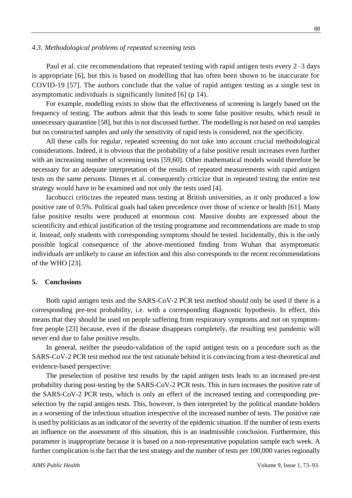#### *4.3. Methodological problems of repeated screening tests*

Paul et al. cite recommendations that repeated testing with rapid antigen tests every 2–3 days is appropriate [6], but this is based on modelling that has often been shown to be inaccurate for COVID-19 [57]. The authors conclude that the value of rapid antigen testing as a single test in asymptomatic individuals is significantly limited [6] (p 14).

For example, modelling exists to show that the effectiveness of screening is largely based on the frequency of testing. The authors admit that this leads to some false positive results, which result in unnecessary quarantine [58], but this is not discussed further. The modelling is not based on real samples but on constructed samples and only the sensitivity of rapid tests is considered, not the specificity.

All these calls for regular, repeated screening do not take into account crucial methodological considerations. Indeed, it is obvious that the probability of a false positive result increases even further with an increasing number of screening tests [59,60]. Other mathematical models would therefore be necessary for an adequate interpretation of the results of repeated measurements with rapid antigen tests on the same persons. Dinnes et al. consequently criticize that in repeated testing the entire test strategy would have to be examined and not only the tests used [4].

Iacobucci criticizes the repeated mass testing at British universities, as it only produced a low positive rate of 0.5%. Political goals had taken precedence over those of science or health [61]. Many false positive results were produced at enormous cost. Massive doubts are expressed about the scientificity and ethical justification of the testing programme and recommendations are made to stop it. Instead, only students with corresponding symptoms should be tested. Incidentally, this is the only possible logical consequence of the above-mentioned finding from Wuhan that asymptomatic individuals are unlikely to cause an infection and this also corresponds to the recent recommendations of the WHO [23].

### **5. Conclusions**

Both rapid antigen tests and the SARS-CoV-2 PCR test method should only be used if there is a corresponding pre-test probability, i.e. with a corresponding diagnostic hypothesis. In effect, this means that they should be used on people suffering from respiratory symptoms and not on symptomfree people [23] because, even if the disease disappears completely, the resulting test pandemic will never end due to false positive results.

In general, neither the pseudo-validation of the rapid antigen tests on a procedure such as the SARS-CoV-2 PCR test method nor the test rationale behind it is convincing from a test-theoretical and evidence-based perspective:

The preselection of positive test results by the rapid antigen tests leads to an increased pre-test probability during post-testing by the SARS-CoV-2 PCR tests. This in turn increases the positive rate of the SARS-CoV-2 PCR tests, which is only an effect of the increased testing and corresponding preselection by the rapid antigen tests. This, however, is then interpreted by the political mandate holders as a worsening of the infectious situation irrespective of the increased number of tests. The positive rate is used by politicians as an indicator of the severity of the epidemic situation. If the number of tests exerts an influence on the assessment of this situation, this is an inadmissible conclusion. Furthermore, this parameter is inappropriate because it is based on a non-representative population sample each week. A further complication is the fact that the test strategy and the number of tests per 100,000 varies regionally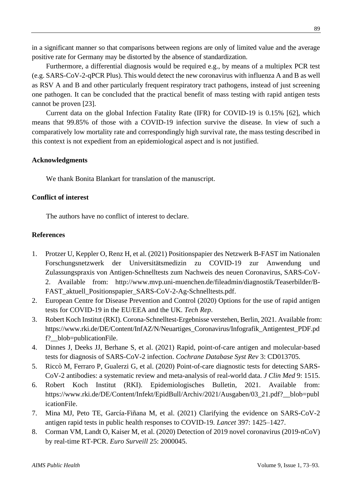in a significant manner so that comparisons between regions are only of limited value and the average positive rate for Germany may be distorted by the absence of standardization.

Furthermore, a differential diagnosis would be required e.g., by means of a multiplex PCR test (e.g. SARS-CoV-2-qPCR Plus). This would detect the new coronavirus with influenza A and B as well as RSV A and B and other particularly frequent respiratory tract pathogens, instead of just screening one pathogen. It can be concluded that the practical benefit of mass testing with rapid antigen tests cannot be proven [23].

Current data on the global Infection Fatality Rate (IFR) for COVID-19 is 0.15% [62], which means that 99.85% of those with a COVID-19 infection survive the disease. In view of such a comparatively low mortality rate and correspondingly high survival rate, the mass testing described in this context is not expedient from an epidemiological aspect and is not justified.

### **Acknowledgments**

We thank Bonita Blankart for translation of the manuscript.

## **Conflict of interest**

The authors have no conflict of interest to declare.

## **References**

- 1. Protzer U, Keppler O, Renz H, et al. (2021) Positionspapier des Netzwerk B-FAST im Nationalen Forschungsnetzwerk der Universitätsmedizin zu COVID-19 zur Anwendung und Zulassungspraxis von Antigen-Schnelltests zum Nachweis des neuen Coronavirus, SARS-CoV-2. Available from: http://www.mvp.uni-muenchen.de/fileadmin/diagnostik/Teaserbilder/B-FAST\_aktuell\_Positionspapier\_SARS-CoV-2-Ag-Schnelltests.pdf.
- 2. European Centre for Disease Prevention and Control (2020) Options for the use of rapid antigen tests for COVID-19 in the EU/EEA and the UK. *Tech Rep*.
- 3. Robert Koch Institut (RKI). Corona-Schnelltest-Ergebnisse verstehen, Berlin, 2021. Available from: [https://www.rki.de/DE/Content/InfAZ/N/Neuartiges\\_Coronavirus/Infografik\\_Antigentest\\_PDF.pd](https://web.archive.org/web/20210319165343/https:/www.rki.de/DE/Content/InfAZ/N/Neuartiges_Coronavirus/Infografik_Antigentest_PDF.pdf?__blob=publicationFile) [f?\\_\\_blob=publicationFile.](https://web.archive.org/web/20210319165343/https:/www.rki.de/DE/Content/InfAZ/N/Neuartiges_Coronavirus/Infografik_Antigentest_PDF.pdf?__blob=publicationFile)
- 4. Dinnes J, Deeks JJ, Berhane S, et al. (2021) Rapid, point-of-care antigen and molecular-based tests for diagnosis of SARS-CoV-2 infection. *Cochrane Database Syst Rev* 3: CD013705.
- 5. Riccò M, Ferraro P, Gualerzi G, et al. (2020) Point-of-care diagnostic tests for detecting SARS-CoV-2 antibodies: a systematic review and meta-analysis of real-world data. *J Clin Med* 9: 1515.
- 6. Robert Koch Institut (RKI). Epidemiologisches Bulletin, 2021. Available from: [https://www.rki.de/DE/Content/Infekt/EpidBull/Archiv/2021/Ausgaben/03\\_21.pdf?\\_\\_blob=publ](https://www.rki.de/DE/Content/Infekt/EpidBull/Archiv/2021/Ausgaben/03_21.pdf?__blob=publicationFile) [icationFile.](https://www.rki.de/DE/Content/Infekt/EpidBull/Archiv/2021/Ausgaben/03_21.pdf?__blob=publicationFile)
- 7. Mina MJ, Peto TE, García-Fiñana M, et al. (2021) Clarifying the evidence on SARS-CoV-2 antigen rapid tests in public health responses to COVID-19. *Lancet* 397: 1425–1427.
- 8. Corman VM, Landt O, Kaiser M, et al. (2020) Detection of 2019 novel coronavirus (2019-nCoV) by real-time RT-PCR. *Euro Surveill* 25: 2000045.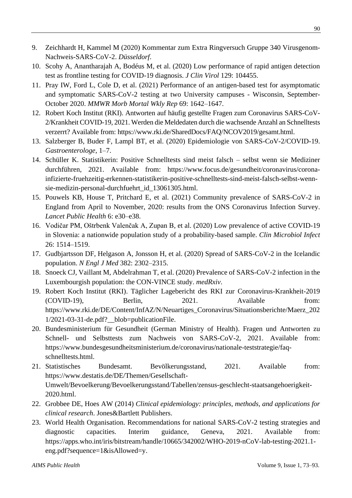- 9. Zeichhardt H, Kammel M (2020) Kommentar zum Extra Ringversuch Gruppe 340 Virusgenom-Nachweis-SARS-CoV-2. *Düsseldorf*.
- 10. Scohy A, Anantharajah A, Bodéus M, et al. (2020) Low performance of rapid antigen detection test as frontline testing for COVID-19 diagnosis. *J Clin Virol* 129: 104455.
- 11. Pray IW, Ford L, Cole D, et al. (2021) Performance of an antigen-based test for asymptomatic and symptomatic SARS-CoV-2 testing at two University campuses - Wisconsin, September-October 2020. *MMWR Morb Mortal Wkly Rep* 69: 1642–1647.
- 12. Robert Koch Institut (RKI). Antworten auf häufig gestellte Fragen zum Coronavirus SARS-CoV-2/Krankheit COVID-19, 2021. Werden die Meldedaten durch die wachsende Anzahl an Schnelltests verzerrt? Available from: [https://www.rki.de/SharedDocs/FAQ/NCOV2019/gesamt.html.](https://www.rki.de/SharedDocs/FAQ/NCOV2019/gesamt.html)
- 13. Salzberger B, Buder F, Lampl BT, et al. (2020) Epidemiologie von SARS-CoV-2/COVID-19. *Gastroenterologe*, 1–7.
- 14. Schüller K. Statistikerin: Positive Schnelltests sind meist falsch selbst wenn sie Mediziner durchführen, 2021. Available from: [https://www.focus.de/gesundheit/coronavirus/corona](https://www.focus.de/gesundheit/coronavirus/corona-infizierte-fruehzeitig-erkennen-statistikerin-positive-schnelltests-sind-meist-falsch-selbst-wenn-sie-medizin-personal-durchfuehrt_id_13061305.html)[infizierte-fruehzeitig-erkennen-statistikerin-positive-schnelltests-sind-meist-falsch-selbst-wenn](https://www.focus.de/gesundheit/coronavirus/corona-infizierte-fruehzeitig-erkennen-statistikerin-positive-schnelltests-sind-meist-falsch-selbst-wenn-sie-medizin-personal-durchfuehrt_id_13061305.html)[sie-medizin-personal-durchfuehrt\\_id\\_13061305.html.](https://www.focus.de/gesundheit/coronavirus/corona-infizierte-fruehzeitig-erkennen-statistikerin-positive-schnelltests-sind-meist-falsch-selbst-wenn-sie-medizin-personal-durchfuehrt_id_13061305.html)
- 15. Pouwels KB, House T, Pritchard E, et al. (2021) Community prevalence of SARS-CoV-2 in England from April to November, 2020: results from the ONS Coronavirus Infection Survey. *Lancet Public Health* 6: e30–e38.
- 16. Vodičar PM, Oštrbenk Valenčak A, Zupan B, et al. (2020) Low prevalence of active COVID-19 in Slovenia: a nationwide population study of a probability-based sample. *Clin Microbiol Infect* 26: 1514–1519.
- 17. Gudbjartsson DF, Helgason A, Jonsson H, et al. (2020) Spread of SARS-CoV-2 in the Icelandic population. *N Engl J Med* 382: 2302–2315.
- 18. Snoeck CJ, Vaillant M, Abdelrahman T, et al. (2020) Prevalence of SARS-CoV-2 infection in the Luxembourgish population: the CON-VINCE study. *medRxiv*.
- 19. Robert Koch Institut (RKI). Täglicher Lagebericht des RKI zur Coronavirus-Krankheit-2019 (COVID-19), Berlin, 2021. Available from: [https://www.rki.de/DE/Content/InfAZ/N/Neuartiges\\_Coronavirus/Situationsberichte/Maerz\\_202](https://www.rki.de/DE/Content/InfAZ/N/Neuartiges_Coronavirus/Situationsberichte/Maerz_2021/2021-03-31-de.pdf?__blob=publicationFile) [1/2021-03-31-de.pdf?\\_\\_blob=publicationFile.](https://www.rki.de/DE/Content/InfAZ/N/Neuartiges_Coronavirus/Situationsberichte/Maerz_2021/2021-03-31-de.pdf?__blob=publicationFile)
- 20. Bundesministerium für Gesundheit (German Ministry of Health). Fragen und Antworten zu Schnell- und Selbsttests zum Nachweis von SARS-CoV-2, 2021. Available from: [https://www.bundesgesundheitsministerium.de/coronavirus/nationale-teststrategie/faq](https://www.bundesgesundheitsministerium.de/coronavirus/nationale-teststrategie/faq-schnelltests.html)[schnelltests.html.](https://www.bundesgesundheitsministerium.de/coronavirus/nationale-teststrategie/faq-schnelltests.html)
- 21. Statistisches Bundesamt. Bevölkerungsstand, 2021. Available from: [https://www.destatis.de/DE/Themen/Gesellschaft-](https://www.destatis.de/DE/Themen/Gesellschaft-Umwelt/Bevoelkerung/Bevoelkerungsstand/Tabellen/zensus-geschlecht-staatsangehoerigkeit-2020.html)[Umwelt/Bevoelkerung/Bevoelkerungsstand/Tabellen/zensus-geschlecht-staatsangehoerigkeit-](https://www.destatis.de/DE/Themen/Gesellschaft-Umwelt/Bevoelkerung/Bevoelkerungsstand/Tabellen/zensus-geschlecht-staatsangehoerigkeit-2020.html)[2020.html.](https://www.destatis.de/DE/Themen/Gesellschaft-Umwelt/Bevoelkerung/Bevoelkerungsstand/Tabellen/zensus-geschlecht-staatsangehoerigkeit-2020.html)
- 22. Grobbee DE, Hoes AW (2014) *Clinical epidemiology: principles, methods, and applications for clinical research*. Jones&Bartlett Publishers.
- 23. World Health Organisation. Recommendations for national SARS-CoV-2 testing strategies and diagnostic capacities. Interim guidance, Geneva, 2021. Available from: [https://apps.who.int/iris/bitstream/handle/10665/342002/WHO-2019-nCoV-lab-testing-2021.1](https://apps.who.int/iris/bitstream/handle/10665/342002/WHO-2019-nCoV-lab-testing-2021.1-eng.pdf?sequence=1&isAllowed=y) [eng.pdf?sequence=1&isAllowed=y.](https://apps.who.int/iris/bitstream/handle/10665/342002/WHO-2019-nCoV-lab-testing-2021.1-eng.pdf?sequence=1&isAllowed=y)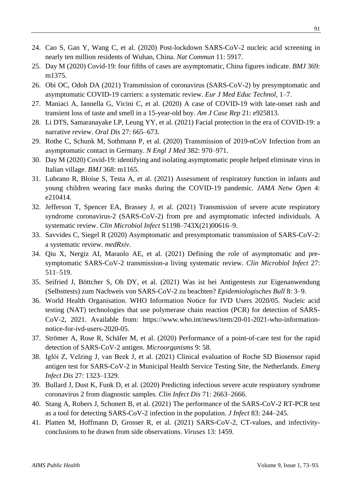- 24. Cao S, Gan Y, Wang C, et al. (2020) Post-lockdown SARS-CoV-2 nucleic acid screening in nearly ten million residents of Wuhan, China. *Nat Commun* 11: 5917.
- 25. Day M (2020) Covid-19: four fifths of cases are asymptomatic, China figures indicate. *BMJ* 369: m1375.
- 26. Obi OC, Odoh DA (2021) Transmission of coronavirus (SARS-CoV-2) by presymptomatic and asymptomatic COVID-19 carriers: a systematic review. *Eur J Med Educ Technol*, 1–7.
- 27. Maniaci A, Iannella G, Vicini C, et al. (2020) A case of COVID-19 with late-onset rash and transient loss of taste and smell in a 15-year-old boy. *Am J Case Rep* 21: e925813.
- 28. Li DTS, Samaranayake LP, Leung YY, et al. (2021) Facial protection in the era of COVID-19: a narrative review. *Oral Dis* 27: 665–673.
- 29. Rothe C, Schunk M, Sothmann P, et al. (2020) Transmission of 2019-nCoV Infection from an asymptomatic contact in Germany. *N Engl J Med* 382: 970–971.
- 30. Day M (2020) Covid-19: identifying and isolating asymptomatic people helped eliminate virus in Italian village. *BMJ* 368: m1165.
- 31. Lubrano R, Bloise S, Testa A, et al. (2021) Assessment of respiratory function in infants and young children wearing face masks during the COVID-19 pandemic. *JAMA Netw Open* 4: e210414.
- 32. Jefferson T, Spencer EA, Brassey J, et al. (2021) Transmission of severe acute respiratory syndrome coronavirus-2 (SARS-CoV-2) from pre and asymptomatic infected individuals. A systematic review. *Clin Microbiol Infect* S1198–743X(21)00616–9.
- 33. Savvides C, Siegel R (2020) Asymptomatic and presymptomatic transmission of SARS-CoV-2: a systematic review. *medRxiv*.
- 34. Qiu X, Nergiz AI, Maraolo AE, et al. (2021) Defining the role of asymptomatic and presymptomatic SARS-CoV-2 transmission-a living systematic review. *Clin Microbiol Infect* 27: 511–519.
- 35. Seifried J, Böttcher S, Oh DY, et al. (2021) Was ist bei Antigentests zur Eigenanwendung (Selbsttests) zum Nachweis von SARS-CoV-2 zu beachten? *Epidemiologisches Bull* 8: 3–9.
- 36. World Health Organisation. WHO Information Notice for IVD Users 2020/05. Nucleic acid testing (NAT) technologies that use polymerase chain reaction (PCR) for detection of SARS-CoV-2, 2021. Available from: [https://www.who.int/news/item/20-01-2021-who-information](https://www.who.int/news/item/20-01-2021-who-information-notice-for-ivd-users-2020-05)[notice-for-ivd-users-2020-05.](https://www.who.int/news/item/20-01-2021-who-information-notice-for-ivd-users-2020-05)
- 37. Strömer A, Rose R, Schäfer M, et al. (2020) Performance of a point-of-care test for the rapid detection of SARS-CoV-2 antigen. *Microorganisms* 9: 58.
- 38. Iglὁi Z, Velzing J, van Beek J, et al. (2021) Clinical evaluation of Roche SD Biosensor rapid antigen test for SARS-CoV-2 in Municipal Health Service Testing Site, the Netherlands. *Emerg Infect Dis* 27: 1323–1329.
- 39. Bullard J, Dust K, Funk D, et al. (2020) Predicting infectious severe acute respiratory syndrome coronavirus 2 from diagnostic samples. *Clin Infect Dis* 71: 2663–2666.
- 40. Stang A, Robers J, Schonert B, et al. (2021) The performance of the SARS-CoV-2 RT-PCR test as a tool for detecting SARS-CoV-2 infection in the population. *J Infect* 83: 244–245.
- 41. Platten M, Hoffmann D, Grosser R, et al. (2021) SARS-CoV-2, CT-values, and infectivityconclusions to be drawn from side observations. *Viruses* 13: 1459.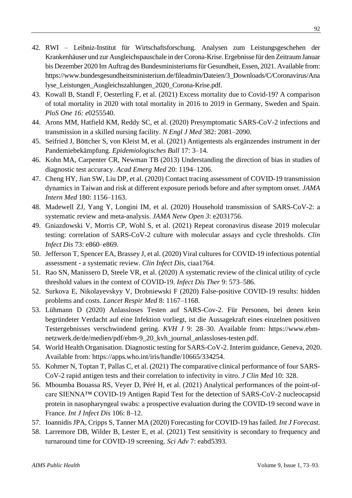- 42. RWI Leibniz-Institut für Wirtschaftsforschung. Analysen zum Leistungsgeschehen der Krankenhäuser und zur Ausgleichspauschale in der Corona-Krise. Ergebnisse für den Zeitraum Januar bis Dezember 2020 Im Auftrag des Bundesministeriums für Gesundheit, Essen, 2021. Available from: [https://www.bundesgesundheitsministerium.de/fileadmin/Dateien/3\\_Downloads/C/Coronavirus/Ana](https://www.bundesgesundheitsministerium.de/fileadmin/Dateien/3_Downloads/C/Coronavirus/Analyse_Leistungen_Ausgleichszahlungen_2020_Corona-Krise.pdf) [lyse\\_Leistungen\\_Ausgleichszahlungen\\_2020\\_Corona-Krise.pdf.](https://www.bundesgesundheitsministerium.de/fileadmin/Dateien/3_Downloads/C/Coronavirus/Analyse_Leistungen_Ausgleichszahlungen_2020_Corona-Krise.pdf)
- 43. Kowall B, Standl F, Oesterling F, et al. (2021) Excess mortality due to Covid-19? A comparison of total mortality in 2020 with total mortality in 2016 to 2019 in Germany, Sweden and Spain. *PloS One 16: e*0255540.
- 44. Arons MM, Hatfield KM, Reddy SC, et al. (2020) Presymptomatic SARS-CoV-2 infections and transmission in a skilled nursing facility. *N Engl J Med* 382: 2081–2090.
- 45. Seifried J, Böttcher S, von Kleist M, et al. (2021) Antigentests als ergänzendes instrument in der Pandemiebekämpfung. *Epidemiologisches Bull* 17: 3–14.
- 46. Kohn MA, Carpenter CR, Newman TB (2013) Understanding the direction of bias in studies of diagnostic test accuracy. *Acad Emerg Med* 20: 1194–1206.
- 47. Cheng HY, Jian SW, Liu DP, et al. (2020) Contact tracing assessment of COVID-19 transmission dynamics in Taiwan and risk at different exposure periods before and after symptom onset. *JAMA Intern Med* 180: 1156–1163.
- 48. Madewell ZJ, Yang Y, Longini IM, et al. (2020) Household transmission of SARS-CoV-2: a systematic review and meta-analysis. *JAMA Netw Open 3*: e2031756.
- 49. Gniazdowski V, Morris CP, Wohl S, et al. (2021) Repeat coronavirus disease 2019 molecular testing: correlation of SARS-CoV-2 culture with molecular assays and cycle thresholds. *Clin Infect Dis* 73: e860–e869.
- 50. Jefferson T, Spencer EA, Brassey J, et al. (2020) Viral cultures for COVID-19 infectious potential assessment - a systematic review. *Clin Infect Dis*, ciaa1764.
- 51. Rao SN, Manissero D, Steele VR, et al. (2020) A systematic review of the clinical utility of cycle threshold values in the context of COVID-19. *Infect Dis Ther* 9: 573–586.
- 52. Surkova E, Nikolayevskyy V, Drobniewski F (2020) False-positive COVID-19 results: hidden problems and costs. *Lancet Respir Med* 8: 1167–1168.
- 53. Lühmann D (2020) Anlassloses Testen auf SARS-Cov-2. Für Personen, bei denen kein begründeter Verdacht auf eine Infektion vorliegt, ist die Aussagekraft eines einzelnen positiven Testergebnisses verschwindend gering. *KVH J* 9: 28–30. Available from: [https://www.ebm](https://www.ebm-netzwerk.de/de/medien/pdf/ebm-9_20_kvh_journal_anlassloses-testen.pdf)[netzwerk.de/de/medien/pdf/ebm-9\\_20\\_kvh\\_journal\\_anlassloses-testen.pdf.](https://www.ebm-netzwerk.de/de/medien/pdf/ebm-9_20_kvh_journal_anlassloses-testen.pdf)
- 54. World Health Organisation. Diagnostic testing for SARS-CoV-2. Interim guidance, Geneva, 2020. Available from: [https://apps.who.int/iris/handle/10665/334254.](https://apps.who.int/iris/handle/10665/334254)
- 55. Kohmer N, Toptan T, Pallas C, et al. (2021) The comparative clinical performance of four SARS-CoV-2 rapid antigen tests and their correlation to infectivity in vitro. *J Clin Med* 10: 328.
- 56. Mboumba Bouassa RS, Veyer D, Péré H, et al. (2021) Analytical performances of the point-ofcare SIENNA™ COVID-19 Antigen Rapid Test for the detection of SARS-CoV-2 nucleocapsid protein in nasopharyngeal swabs: a prospective evaluation during the COVID-19 second wave in France. *Int J Infect Dis* 106: 8–12.
- 57. Ioannidis JPA, Cripps S, Tanner MA (2020) Forecasting for COVID-19 has failed. *Int J Forecast.*
- 58. Larremore DB, Wilder B, Lester E, et al. (2021) Test sensitivity is secondary to frequency and turnaround time for COVID-19 screening. *Sci Adv* 7: eabd5393.